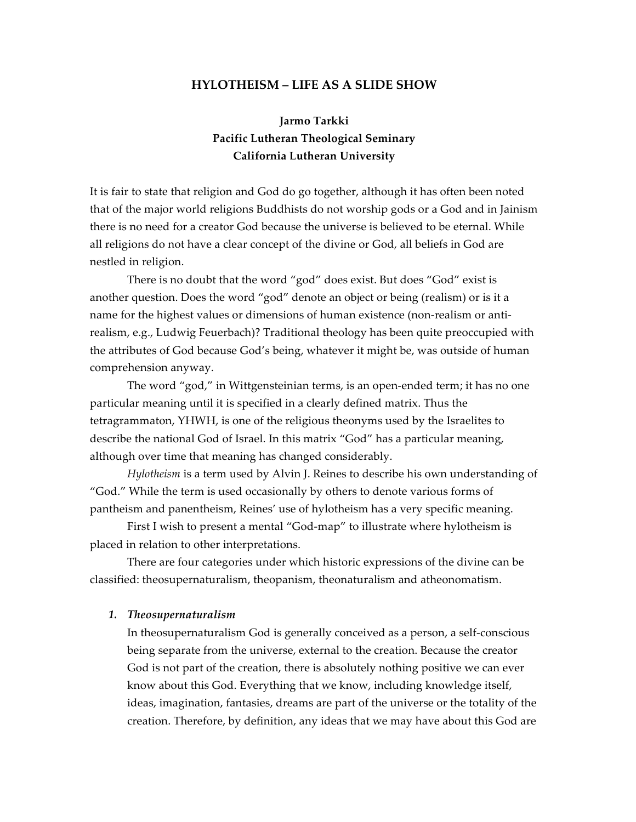# **HYLOTHEISM – LIFE AS A SLIDE SHOW**

# **Jarmo Tarkki Pacific Lutheran Theological Seminary California Lutheran University**

It is fair to state that religion and God do go together, although it has often been noted that of the major world religions Buddhists do not worship gods or a God and in Jainism there is no need for a creator God because the universe is believed to be eternal. While all religions do not have a clear concept of the divine or God, all beliefs in God are nestled in religion.

There is no doubt that the word "god" does exist. But does "God" exist is another question. Does the word "god" denote an object or being (realism) or is it a name for the highest values or dimensions of human existence (non-realism or antirealism, e.g., Ludwig Feuerbach)? Traditional theology has been quite preoccupied with the attributes of God because God's being, whatever it might be, was outside of human comprehension anyway.

The word "god," in Wittgensteinian terms, is an open-ended term; it has no one particular meaning until it is specified in a clearly defined matrix. Thus the tetragrammaton, YHWH, is one of the religious theonyms used by the Israelites to describe the national God of Israel. In this matrix "God" has a particular meaning, although over time that meaning has changed considerably.

*Hylotheism* is a term used by Alvin J. Reines to describe his own understanding of "God." While the term is used occasionally by others to denote various forms of pantheism and panentheism, Reines' use of hylotheism has a very specific meaning.

First I wish to present a mental "God-map" to illustrate where hylotheism is placed in relation to other interpretations.

There are four categories under which historic expressions of the divine can be classified: theosupernaturalism, theopanism, theonaturalism and atheonomatism.

## *1. Theosupernaturalism*

In theosupernaturalism God is generally conceived as a person, a self-conscious being separate from the universe, external to the creation. Because the creator God is not part of the creation, there is absolutely nothing positive we can ever know about this God. Everything that we know, including knowledge itself, ideas, imagination, fantasies, dreams are part of the universe or the totality of the creation. Therefore, by definition, any ideas that we may have about this God are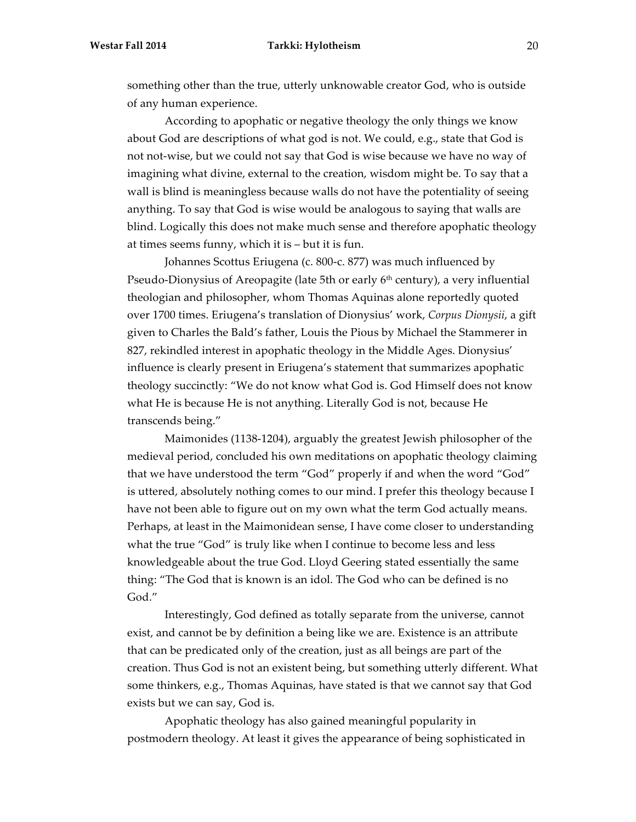something other than the true, utterly unknowable creator God, who is outside of any human experience.

According to apophatic or negative theology the only things we know about God are descriptions of what god is not. We could, e.g., state that God is not not-wise, but we could not say that God is wise because we have no way of imagining what divine, external to the creation, wisdom might be. To say that a wall is blind is meaningless because walls do not have the potentiality of seeing anything. To say that God is wise would be analogous to saying that walls are blind. Logically this does not make much sense and therefore apophatic theology at times seems funny, which it is – but it is fun.

Johannes Scottus Eriugena (c. 800-c. 877) was much influenced by Pseudo-Dionysius of Areopagite (late 5th or early 6<sup>th</sup> century), a very influential theologian and philosopher, whom Thomas Aquinas alone reportedly quoted over 1700 times. Eriugena's translation of Dionysius' work, *Corpus Dionysii*, a gift given to Charles the Bald's father, Louis the Pious by Michael the Stammerer in 827, rekindled interest in apophatic theology in the Middle Ages. Dionysius' influence is clearly present in Eriugena's statement that summarizes apophatic theology succinctly: "We do not know what God is. God Himself does not know what He is because He is not anything. Literally God is not, because He transcends being."

Maimonides (1138-1204), arguably the greatest Jewish philosopher of the medieval period, concluded his own meditations on apophatic theology claiming that we have understood the term "God" properly if and when the word "God" is uttered, absolutely nothing comes to our mind. I prefer this theology because I have not been able to figure out on my own what the term God actually means. Perhaps, at least in the Maimonidean sense, I have come closer to understanding what the true "God" is truly like when I continue to become less and less knowledgeable about the true God. Lloyd Geering stated essentially the same thing: "The God that is known is an idol. The God who can be defined is no God."

Interestingly, God defined as totally separate from the universe, cannot exist, and cannot be by definition a being like we are. Existence is an attribute that can be predicated only of the creation, just as all beings are part of the creation. Thus God is not an existent being, but something utterly different. What some thinkers, e.g., Thomas Aquinas, have stated is that we cannot say that God exists but we can say, God is.

Apophatic theology has also gained meaningful popularity in postmodern theology. At least it gives the appearance of being sophisticated in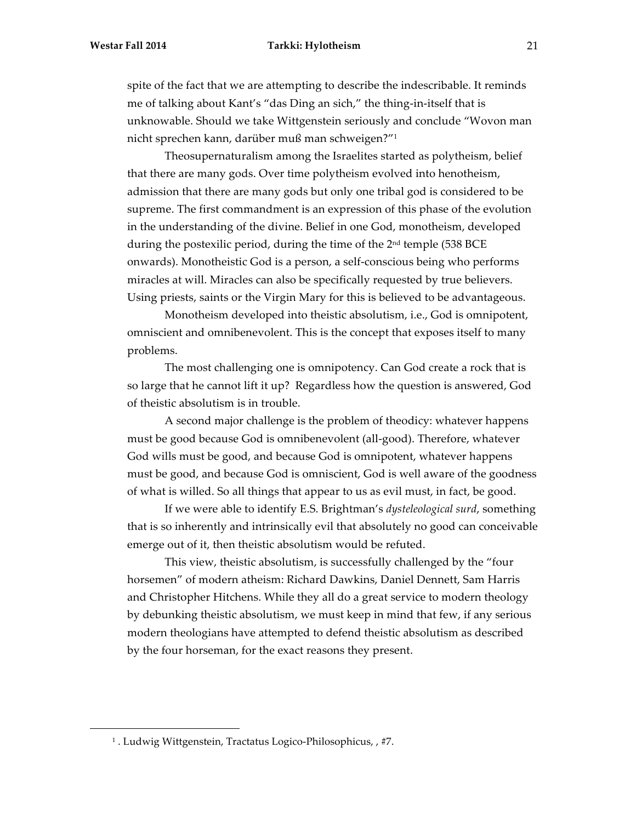#### **Westar Fall 2014 Tarkki: Hylotheism** 21

spite of the fact that we are attempting to describe the indescribable. It reminds me of talking about Kant's "das Ding an sich," the thing-in-itself that is unknowable. Should we take Wittgenstein seriously and conclude "Wovon man nicht sprechen kann, darüber muß man schweigen?"1

Theosupernaturalism among the Israelites started as polytheism, belief that there are many gods. Over time polytheism evolved into henotheism, admission that there are many gods but only one tribal god is considered to be supreme. The first commandment is an expression of this phase of the evolution in the understanding of the divine. Belief in one God, monotheism, developed during the postexilic period, during the time of the 2<sup>nd</sup> temple (538 BCE onwards). Monotheistic God is a person, a self-conscious being who performs miracles at will. Miracles can also be specifically requested by true believers. Using priests, saints or the Virgin Mary for this is believed to be advantageous.

Monotheism developed into theistic absolutism, i.e., God is omnipotent, omniscient and omnibenevolent. This is the concept that exposes itself to many problems.

The most challenging one is omnipotency. Can God create a rock that is so large that he cannot lift it up? Regardless how the question is answered, God of theistic absolutism is in trouble.

A second major challenge is the problem of theodicy: whatever happens must be good because God is omnibenevolent (all-good). Therefore, whatever God wills must be good, and because God is omnipotent, whatever happens must be good, and because God is omniscient, God is well aware of the goodness of what is willed. So all things that appear to us as evil must, in fact, be good.

If we were able to identify E.S. Brightman's *dysteleological surd*, something that is so inherently and intrinsically evil that absolutely no good can conceivable emerge out of it, then theistic absolutism would be refuted.

This view, theistic absolutism, is successfully challenged by the "four horsemen" of modern atheism: Richard Dawkins, Daniel Dennett, Sam Harris and Christopher Hitchens. While they all do a great service to modern theology by debunking theistic absolutism, we must keep in mind that few, if any serious modern theologians have attempted to defend theistic absolutism as described by the four horseman, for the exact reasons they present.

1

<sup>1</sup> . Ludwig Wittgenstein, Tractatus Logico-Philosophicus, , #7.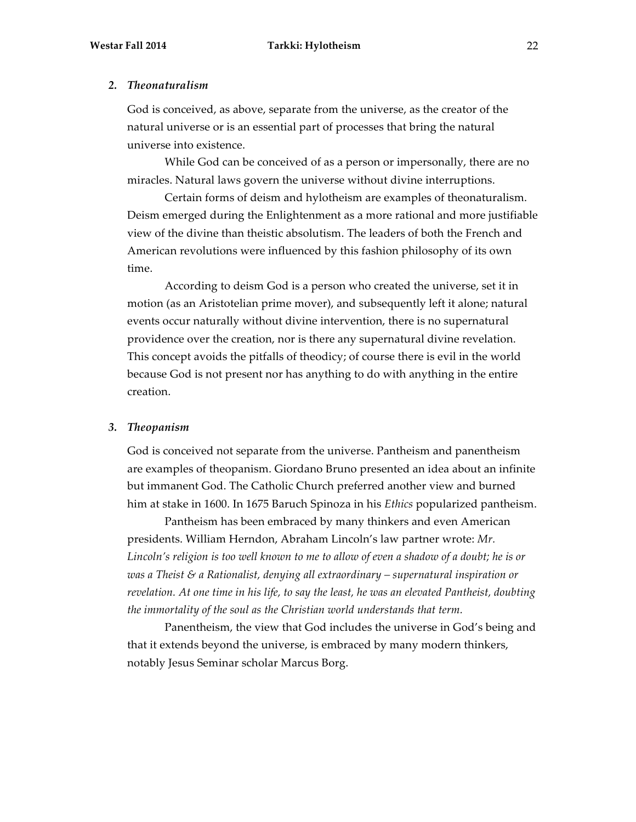#### *2. Theonaturalism*

God is conceived, as above, separate from the universe, as the creator of the natural universe or is an essential part of processes that bring the natural universe into existence.

While God can be conceived of as a person or impersonally, there are no miracles. Natural laws govern the universe without divine interruptions.

Certain forms of deism and hylotheism are examples of theonaturalism. Deism emerged during the Enlightenment as a more rational and more justifiable view of the divine than theistic absolutism. The leaders of both the French and American revolutions were influenced by this fashion philosophy of its own time.

According to deism God is a person who created the universe, set it in motion (as an Aristotelian prime mover), and subsequently left it alone; natural events occur naturally without divine intervention, there is no supernatural providence over the creation, nor is there any supernatural divine revelation. This concept avoids the pitfalls of theodicy; of course there is evil in the world because God is not present nor has anything to do with anything in the entire creation.

## *3. Theopanism*

God is conceived not separate from the universe. Pantheism and panentheism are examples of theopanism. Giordano Bruno presented an idea about an infinite but immanent God. The Catholic Church preferred another view and burned him at stake in 1600. In 1675 Baruch Spinoza in his *Ethics* popularized pantheism.

Pantheism has been embraced by many thinkers and even American presidents. William Herndon, Abraham Lincoln's law partner wrote: *Mr. Lincoln's religion is too well known to me to allow of even a shadow of a doubt; he is or was a Theist & a Rationalist, denying all extraordinary – supernatural inspiration or revelation. At one time in his life, to say the least, he was an elevated Pantheist, doubting the immortality of the soul as the Christian world understands that term.*

Panentheism, the view that God includes the universe in God's being and that it extends beyond the universe, is embraced by many modern thinkers, notably Jesus Seminar scholar Marcus Borg.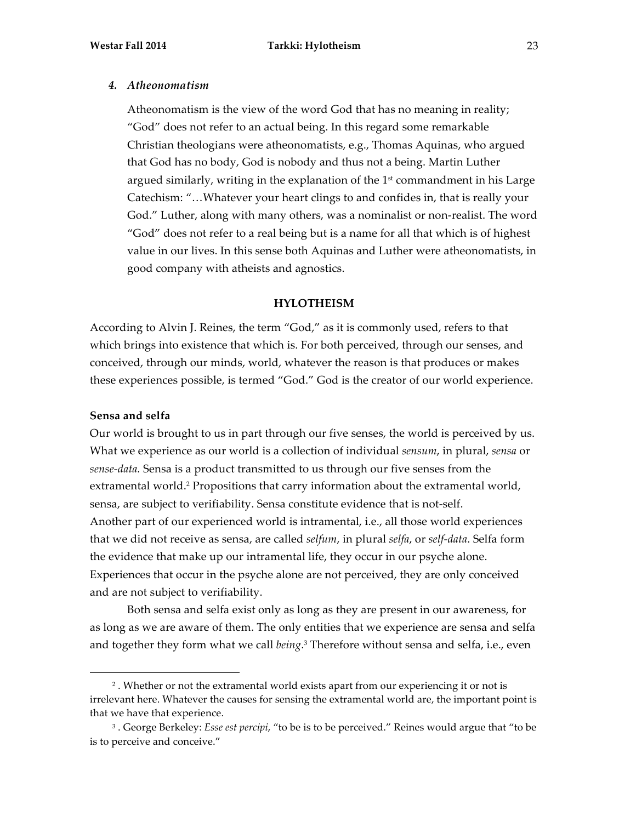#### *4. Atheonomatism*

Atheonomatism is the view of the word God that has no meaning in reality; "God" does not refer to an actual being. In this regard some remarkable Christian theologians were atheonomatists, e.g., Thomas Aquinas, who argued that God has no body, God is nobody and thus not a being. Martin Luther argued similarly, writing in the explanation of the  $1<sup>st</sup>$  commandment in his Large Catechism: "…Whatever your heart clings to and confides in, that is really your God." Luther, along with many others, was a nominalist or non-realist. The word "God" does not refer to a real being but is a name for all that which is of highest value in our lives. In this sense both Aquinas and Luther were atheonomatists, in good company with atheists and agnostics.

#### **HYLOTHEISM**

According to Alvin J. Reines, the term "God," as it is commonly used, refers to that which brings into existence that which is. For both perceived, through our senses, and conceived, through our minds, world, whatever the reason is that produces or makes these experiences possible, is termed "God." God is the creator of our world experience.

## **Sensa and selfa**

1

Our world is brought to us in part through our five senses, the world is perceived by us. What we experience as our world is a collection of individual *sensum*, in plural, *sensa* or *sense-data.* Sensa is a product transmitted to us through our five senses from the extramental world.<sup>2</sup> Propositions that carry information about the extramental world, sensa, are subject to verifiability. Sensa constitute evidence that is not-self. Another part of our experienced world is intramental, i.e., all those world experiences that we did not receive as sensa, are called *selfum*, in plural *selfa*, or *self-data*. Selfa form the evidence that make up our intramental life, they occur in our psyche alone. Experiences that occur in the psyche alone are not perceived, they are only conceived and are not subject to verifiability.

Both sensa and selfa exist only as long as they are present in our awareness, for as long as we are aware of them. The only entities that we experience are sensa and selfa and together they form what we call *being*. <sup>3</sup> Therefore without sensa and selfa, i.e., even

<sup>2</sup> . Whether or not the extramental world exists apart from our experiencing it or not is irrelevant here. Whatever the causes for sensing the extramental world are, the important point is that we have that experience.

<sup>3</sup> . George Berkeley: *Esse est percipi*, "to be is to be perceived." Reines would argue that "to be is to perceive and conceive."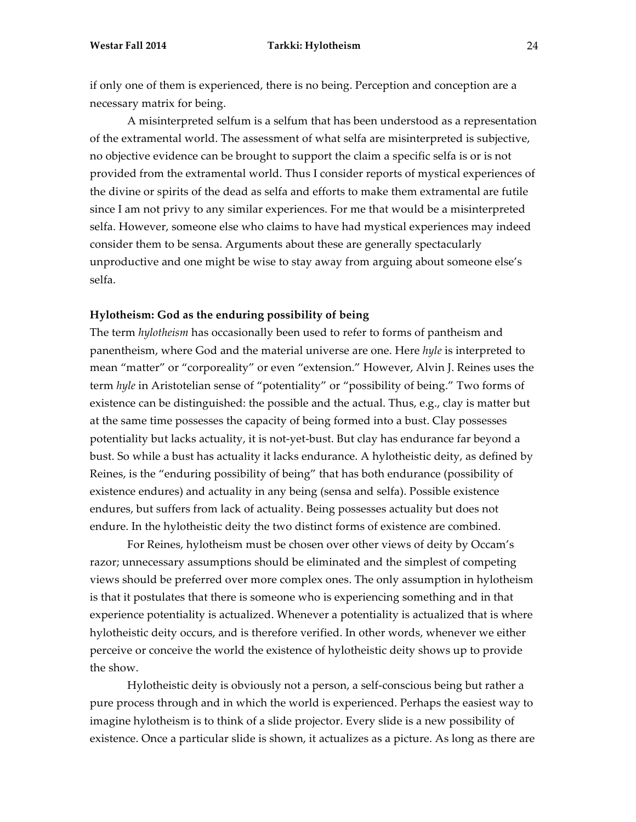if only one of them is experienced, there is no being. Perception and conception are a necessary matrix for being.

A misinterpreted selfum is a selfum that has been understood as a representation of the extramental world. The assessment of what selfa are misinterpreted is subjective, no objective evidence can be brought to support the claim a specific selfa is or is not provided from the extramental world. Thus I consider reports of mystical experiences of the divine or spirits of the dead as selfa and efforts to make them extramental are futile since I am not privy to any similar experiences. For me that would be a misinterpreted selfa. However, someone else who claims to have had mystical experiences may indeed consider them to be sensa. Arguments about these are generally spectacularly unproductive and one might be wise to stay away from arguing about someone else's selfa.

## **Hylotheism: God as the enduring possibility of being**

The term *hylotheism* has occasionally been used to refer to forms of pantheism and panentheism, where God and the material universe are one. Here *hyle* is interpreted to mean "matter" or "corporeality" or even "extension." However, Alvin J. Reines uses the term *hyle* in Aristotelian sense of "potentiality" or "possibility of being." Two forms of existence can be distinguished: the possible and the actual. Thus, e.g., clay is matter but at the same time possesses the capacity of being formed into a bust. Clay possesses potentiality but lacks actuality, it is not-yet-bust. But clay has endurance far beyond a bust. So while a bust has actuality it lacks endurance. A hylotheistic deity, as defined by Reines, is the "enduring possibility of being" that has both endurance (possibility of existence endures) and actuality in any being (sensa and selfa). Possible existence endures, but suffers from lack of actuality. Being possesses actuality but does not endure. In the hylotheistic deity the two distinct forms of existence are combined.

For Reines, hylotheism must be chosen over other views of deity by Occam's razor; unnecessary assumptions should be eliminated and the simplest of competing views should be preferred over more complex ones. The only assumption in hylotheism is that it postulates that there is someone who is experiencing something and in that experience potentiality is actualized. Whenever a potentiality is actualized that is where hylotheistic deity occurs, and is therefore verified. In other words, whenever we either perceive or conceive the world the existence of hylotheistic deity shows up to provide the show.

Hylotheistic deity is obviously not a person, a self-conscious being but rather a pure process through and in which the world is experienced. Perhaps the easiest way to imagine hylotheism is to think of a slide projector. Every slide is a new possibility of existence. Once a particular slide is shown, it actualizes as a picture. As long as there are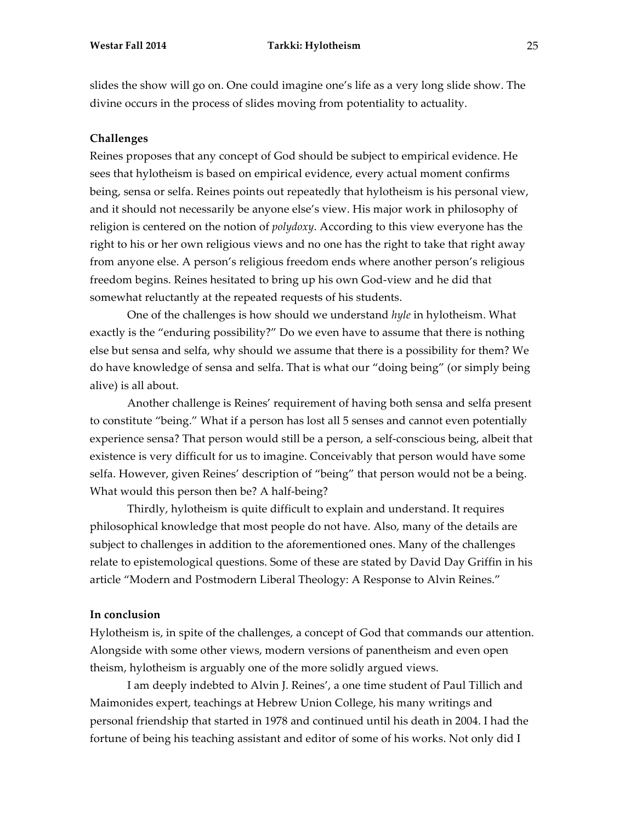slides the show will go on. One could imagine one's life as a very long slide show. The divine occurs in the process of slides moving from potentiality to actuality.

# **Challenges**

Reines proposes that any concept of God should be subject to empirical evidence. He sees that hylotheism is based on empirical evidence, every actual moment confirms being, sensa or selfa. Reines points out repeatedly that hylotheism is his personal view, and it should not necessarily be anyone else's view. His major work in philosophy of religion is centered on the notion of *polydoxy*. According to this view everyone has the right to his or her own religious views and no one has the right to take that right away from anyone else. A person's religious freedom ends where another person's religious freedom begins. Reines hesitated to bring up his own God-view and he did that somewhat reluctantly at the repeated requests of his students.

One of the challenges is how should we understand *hyle* in hylotheism. What exactly is the "enduring possibility?" Do we even have to assume that there is nothing else but sensa and selfa, why should we assume that there is a possibility for them? We do have knowledge of sensa and selfa. That is what our "doing being" (or simply being alive) is all about.

Another challenge is Reines' requirement of having both sensa and selfa present to constitute "being." What if a person has lost all 5 senses and cannot even potentially experience sensa? That person would still be a person, a self-conscious being, albeit that existence is very difficult for us to imagine. Conceivably that person would have some selfa. However, given Reines' description of "being" that person would not be a being. What would this person then be? A half-being?

Thirdly, hylotheism is quite difficult to explain and understand. It requires philosophical knowledge that most people do not have. Also, many of the details are subject to challenges in addition to the aforementioned ones. Many of the challenges relate to epistemological questions. Some of these are stated by David Day Griffin in his article "Modern and Postmodern Liberal Theology: A Response to Alvin Reines."

# **In conclusion**

Hylotheism is, in spite of the challenges, a concept of God that commands our attention. Alongside with some other views, modern versions of panentheism and even open theism, hylotheism is arguably one of the more solidly argued views.

I am deeply indebted to Alvin J. Reines', a one time student of Paul Tillich and Maimonides expert, teachings at Hebrew Union College, his many writings and personal friendship that started in 1978 and continued until his death in 2004. I had the fortune of being his teaching assistant and editor of some of his works. Not only did I